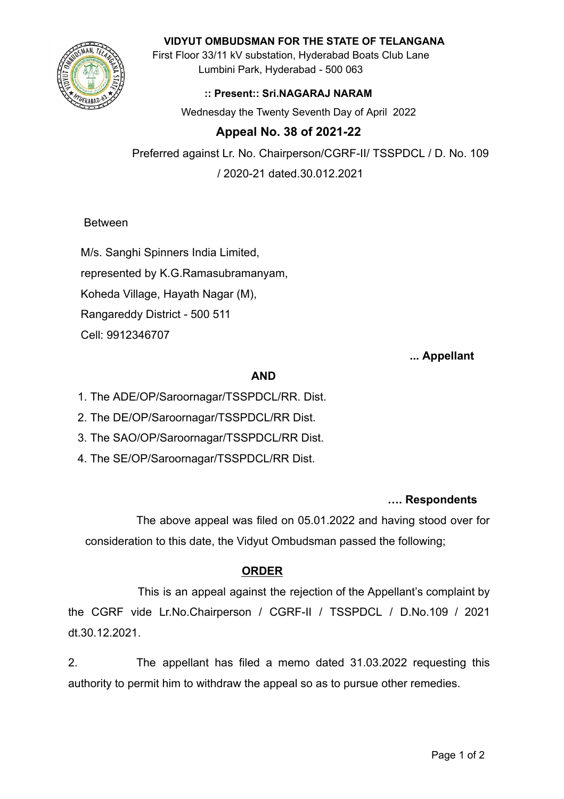

#### **VIDYUT OMBUDSMAN FOR THE STATE OF TELANGANA**

First Floor 33/11 kV substation, Hyderabad Boats Club Lane Lumbini Park, Hyderabad - 500 063

### **:: Present:: Sri.NAGARAJ NARAM**

Wednesday the Twenty Seventh Day of April 2022

# **Appeal No. 38 of 2021-22**

Preferred against Lr. No. Chairperson/CGRF-II/ TSSPDCL / D. No. 109 / 2020-21 dated.30.012.2021

Between

M/s. Sanghi Spinners India Limited, represented by K.G.Ramasubramanyam, Koheda Village, Hayath Nagar (M), Rangareddy District - 500 511 Cell: 9912346707

### **... Appellant**

### **AND**

- 1. The ADE/OP/Saroornagar/TSSPDCL/RR. Dist.
- 2. The DE/OP/Saroornagar/TSSPDCL/RR Dist.
- 3. The SAO/OP/Saroornagar/TSSPDCL/RR Dist.
- 4. The SE/OP/Saroornagar/TSSPDCL/RR Dist.

#### **…. Respondents**

The above appeal was filed on 05.01.2022 and having stood over for consideration to this date, the Vidyut Ombudsman passed the following;

## **ORDER**

This is an appeal against the rejection of the Appellant's complaint by the CGRF vide Lr.No.Chairperson / CGRF-II / TSSPDCL / D.No.109 / 2021 dt.30.12.2021.

2. The appellant has filed a memo dated 31.03.2022 requesting this authority to permit him to withdraw the appeal so as to pursue other remedies.